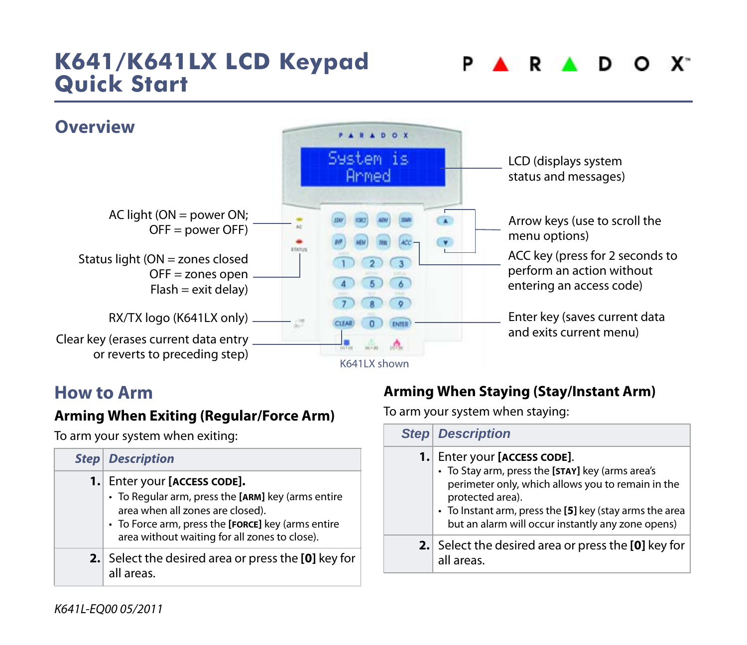# **K641/K641LX LCD Keypad Quick Start**





#### **How to Arm**

#### **Arming When Exiting (Regular/Force Arm)**

To arm your system when exiting:

|     | <b>Step Description</b>                                                                                                                                                                                                    |
|-----|----------------------------------------------------------------------------------------------------------------------------------------------------------------------------------------------------------------------------|
| 1.1 | Enter your [ACCESS CODE].<br>• To Regular arm, press the [ARM] key (arms entire<br>area when all zones are closed).<br>• To Force arm, press the [FORCE] key (arms entire<br>area without waiting for all zones to close). |
|     | 2. Select the desired area or press the [0] key for<br>all areas.                                                                                                                                                          |

#### **Arming When Staying (Stay/Instant Arm)**

To arm your system when staying:

|      | <b>Step Description</b>                                                                                                                                                                                                                                                |
|------|------------------------------------------------------------------------------------------------------------------------------------------------------------------------------------------------------------------------------------------------------------------------|
| 1. I | Enter your [ACCESS CODE].<br>• To Stay arm, press the [STAY] key (arms area's<br>perimeter only, which allows you to remain in the<br>protected area).<br>• To Instant arm, press the [5] key (stay arms the area<br>but an alarm will occur instantly any zone opens) |
|      | 2. Select the desired area or press the [0] key for<br>all areas.                                                                                                                                                                                                      |